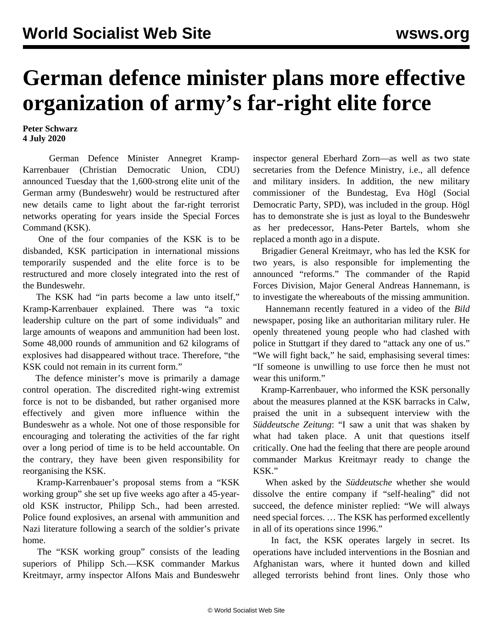## **German defence minister plans more effective organization of army's far-right elite force**

**Peter Schwarz 4 July 2020**

 German Defence Minister Annegret Kramp-Karrenbauer (Christian Democratic Union, CDU) announced Tuesday that the 1,600-strong elite unit of the German army (Bundeswehr) would be restructured after new details came to light about the far-right terrorist networks operating for years inside the Special Forces Command (KSK).

 One of the four companies of the KSK is to be disbanded, KSK participation in international missions temporarily suspended and the elite force is to be restructured and more closely integrated into the rest of the Bundeswehr.

 The KSK had "in parts become a law unto itself," Kramp-Karrenbauer explained. There was "a toxic leadership culture on the part of some individuals" and large amounts of weapons and ammunition had been lost. Some 48,000 rounds of ammunition and 62 kilograms of explosives had disappeared without trace. Therefore, "the KSK could not remain in its current form."

 The defence minister's move is primarily a damage control operation. The discredited right-wing extremist force is not to be disbanded, but rather organised more effectively and given more influence within the Bundeswehr as a whole. Not one of those responsible for encouraging and tolerating the activities of the far right over a long period of time is to be held accountable. On the contrary, they have been given responsibility for reorganising the KSK.

 Kramp-Karrenbauer's proposal stems from a "KSK working group" she set up five weeks ago after a 45-yearold KSK instructor, Philipp Sch., had been arrested. Police found explosives, an arsenal with ammunition and Nazi literature following a search of the soldier's private home.

 The "KSK working group" consists of the leading superiors of Philipp Sch.—KSK commander Markus Kreitmayr, army inspector Alfons Mais and Bundeswehr inspector general Eberhard Zorn—as well as two state secretaries from the Defence Ministry, i.e., all defence and military insiders. In addition, the new military commissioner of the Bundestag, Eva Högl (Social Democratic Party, SPD), was included in the group. Högl has to demonstrate she is just as loyal to the Bundeswehr as her predecessor, Hans-Peter Bartels, whom she replaced a month ago in a dispute.

 Brigadier General Kreitmayr, who has led the KSK for two years, is also responsible for implementing the announced "reforms." The commander of the Rapid Forces Division, Major General Andreas Hannemann, is to investigate the whereabouts of the missing ammunition.

 Hannemann recently featured in a video of the *Bild* newspaper, posing like an authoritarian military ruler. He openly threatened young people who had clashed with police in Stuttgart if they dared to "attack any one of us." "We will fight back," he said, emphasising several times: "If someone is unwilling to use force then he must not wear this uniform."

 Kramp-Karrenbauer, who informed the KSK personally about the measures planned at the KSK barracks in Calw, praised the unit in a subsequent interview with the *Süddeutsche Zeitung*: "I saw a unit that was shaken by what had taken place. A unit that questions itself critically. One had the feeling that there are people around commander Markus Kreitmayr ready to change the KSK."

 When asked by the *Süddeutsche* whether she would dissolve the entire company if "self-healing" did not succeed, the defence minister replied: "We will always need special forces. … The KSK has performed excellently in all of its operations since 1996."

 In fact, the KSK operates largely in secret. Its operations have included interventions in the Bosnian and Afghanistan wars, where it hunted down and killed alleged terrorists behind front lines. Only those who